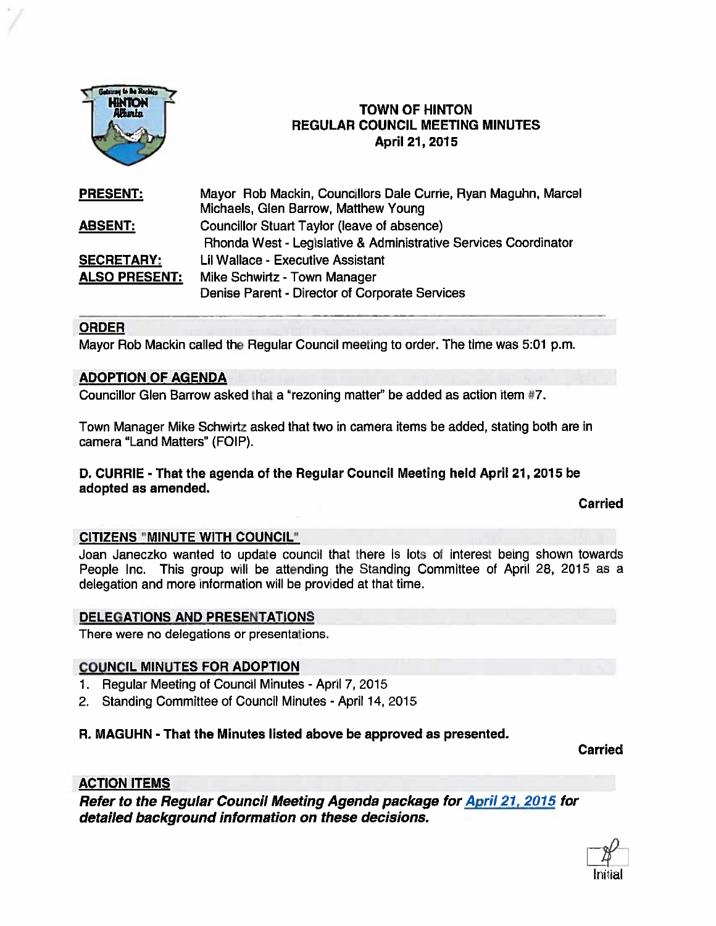

# **TOWN OF HINTON** REGULAR COUNCIL MEETING MINUTES April 21, 2015

| <b>PRESENT:</b>      | Mayor Rob Mackin, Councillors Dale Currie, Ryan Maguhn, Marcel  |
|----------------------|-----------------------------------------------------------------|
|                      | Michaels, Glen Barrow, Matthew Young                            |
| <b>ABSENT:</b>       | Councillor Stuart Taylor (leave of absence)                     |
|                      | Rhonda West - Legislative & Administrative Services Coordinator |
| <b>SECRETARY:</b>    | Lil Wallace - Executive Assistant                               |
| <b>ALSO PRESENT:</b> | Mike Schwirtz - Town Manager                                    |
|                      | Denise Parent - Director of Corporate Services                  |

# ORDER

Mayor Rob Mackin called the Regular Council meeting to order. The time was 5:01 p.m.

# ADOPTION OF AGENDA

Councillor Glen Barrow asked that <sup>a</sup> "rezoning matter" be added as action item #7.

Town Manager Mike Schwirtz asked that two in camera items be added, stating both are in camera "Land Matters" (FOIP).

# D. CURRIE - That the agenda of the Regular Council Meeting held April 21, 2015 be adopted as amended.

Carried

# CITIZENS "MINUTE WITH COUNCIL'

Joan Janeczko wanted to update council that there is lots of interest being shown towards People Inc. This group will be attending the Standing Committee of April 28, 2015 as <sup>a</sup> delegation and more information will be provided at that time.

#### DELEGATIONS AND PRESENTATIONS

There were no delegations or presentations.

#### COUNCIL MINUTES FOR ADOPTION

- 1. Regular Meeting of Council Minutes April 7, 2015
- 2. Standing Committee of Council Minutes April 14, 2015

# R. MAGUHN - That the Minutes listed above be approved as presented.

Carried

# ACTION ITEMS

Refer to the Regular Council Meeting Agenda package for April 21, 2015 for detailed background information on these decisions.

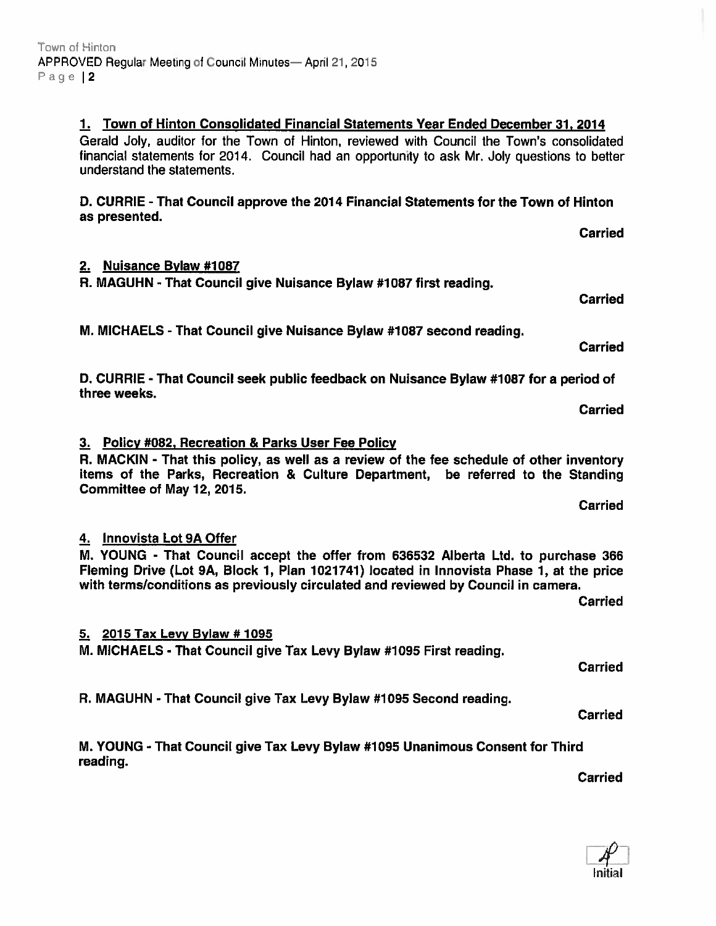#### Town of Hinton APPROVED Regular Meeting of Council Minutes - April 21, 2015 Page 12

# 1. Town of Hinton Consolidated Financial Statements Year Ended December 31, 2014

# Gerald Joly, auditor for the Town of Hinton, reviewed with Council the Town's consolidated financial statements for 2014. Council had an opportunity to ask Mr. Joly questions to better understand the statements.

# D. CURRIE -That Council approve the 2014 Financial Statements for the Town of Hinton as presented.

# 2. Nuisance Bylaw #1087

R. MAGUHN - That Council give Nuisance Bylaw #1 087 first reading.

M. MICHAELS -That Council give Nuisance Bylaw #1087 second reading.

D. CURRIE - That Council seek public feedback on Nuisance Bylaw #1087 for <sup>a</sup> period of three weeks.

# 3. Policy #082, Recreation & Parks User Fee Policy

R. MACKIN - That this policy, as well as <sup>a</sup> review of the fee schedule of other inventory items of the Parks, Recreation & Culture Department, be referred to the Standing Committee of May 12, 2015.

# 4. Innovista Lot 9A Offer

# M. YOUNG - That Council accep<sup>t</sup> the offer from 636532 Alberta Ltd. to purchase 366 Fleming Drive (Lot 9A, Block 1, Plan 1021741) located in Innovista Phase 1, at the price with terms/conditions as previously circulated and reviewed by Council in camera.

Carried

# 5. 2015 Tax Levy Bylaw #1095 M. MICHAELS - That Council give Tax Levy Bylaw #1095 First reading.

Carried

R. MAGUHN - That Council give Tax Levy Bylaw #1 095 Second reading.

M. YOUNG - That Council give Tax Levy Bylaw #1095 Unanimous Consent for Third reading.

Carried

Carried

Carried

Carried

Carried

Carried

Carried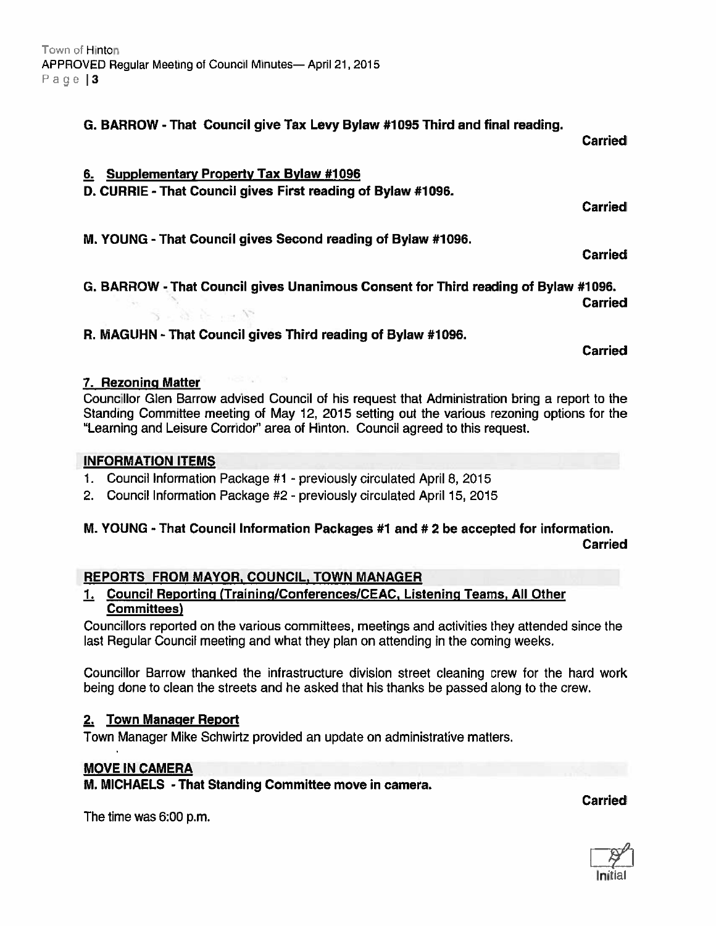# G. BARROW - That Council give Tax Levy Bylaw #1095 Third and final reading.

Carried

# 6. Supplementary Property Tax Bylaw #1096 D. CURRIE - That Council gives First reading of Bylaw #1096. **Carried** M. YOUNG - That Council gives Second reading of Bylaw #1096. **Carried** G. BARROW - That Council gives Unanimous Consent for Third reading of Bylaw #1096. Carried P. MAGUHN - That Council gives Third reading of Bylaw #1 096.

Carried

# 7. Rezoning Matter

Councillor Glen Barrow advised Council of his reques<sup>t</sup> that Administration bring <sup>a</sup> repor<sup>t</sup> to the Standing Committee meeting of May 12, 2015 setting out the various rezoning options for the "Learning and Leisure Corridor' area of Hinton. Council agreed to this request.

### INFORMATION ITEMS

- 1. Council Information Package #1 previously circulated April 8, 2015
- 2. Council Information Package #2 previously circulated April 15, 2015

# M. YOUNG - That Council Information Packages #1 and # 2 be accepted for information.

Carried

# REPORTS FROM MAYOR, COUNCIL, TOWN MANAGER

#### Council Reporting (Training/Conferences/CEAC, Listening Teams, All Other 1. Committees)

Councillors reported on the various committees, meetings and activities they attended since the last Regular Council meeting and what they plan on attending in the coming weeks.

Councillor Barrow thanked the infrastructure division street cleaning crew for the hard work being done to clean the streets and he asked that his thanks be passed along to the crew.

# 2. Town Manager Report

Town Manager Mike Schwirtz provided an update on administrative matters.

#### MOVE IN CAMERA

M. MICHAELS - That Standing Committee move in camera.

Carried

The time was 6:00 p.m.